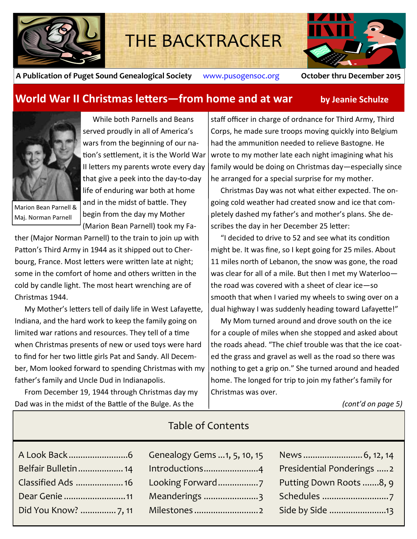

# THE BACKTRACKER



**A Publication of Puget Sound Genealogical Society** www.pusogensoc.org **October thru December 2015**

### **World War II Christmas letters—from home and at war by Jeanie Schulze**



Marion Bean Parnell & Maj. Norman Parnell

While both Parnells and Beans served proudly in all of America's wars from the beginning of our nation's settlement, it is the World War II letters my parents wrote every day that give a peek into the day-to-day life of enduring war both at home and in the midst of battle. They begin from the day my Mother (Marion Bean Parnell) took my Fa-

ther (Major Norman Parnell) to the train to join up with Patton's Third Army in 1944 as it shipped out to Cherbourg, France. Most letters were written late at night; some in the comfort of home and others written in the cold by candle light. The most heart wrenching are of Christmas 1944.

My Mother's letters tell of daily life in West Lafayette, Indiana, and the hard work to keep the family going on limited war rations and resources. They tell of a time when Christmas presents of new or used toys were hard to find for her two little girls Pat and Sandy. All December, Mom looked forward to spending Christmas with my father's family and Uncle Dud in Indianapolis.

From December 19, 1944 through Christmas day my Dad was in the midst of the Battle of the Bulge. As the

staff officer in charge of ordnance for Third Army, Third Corps, he made sure troops moving quickly into Belgium had the ammunition needed to relieve Bastogne. He wrote to my mother late each night imagining what his family would be doing on Christmas day—especially since he arranged for a special surprise for my mother.

Christmas Day was not what either expected. The ongoing cold weather had created snow and ice that completely dashed my father's and mother's plans. She describes the day in her December 25 letter:

"I decided to drive to 52 and see what its condition might be. It was fine, so I kept going for 25 miles. About 11 miles north of Lebanon, the snow was gone, the road was clear for all of a mile. But then I met my Waterloo the road was covered with a sheet of clear ice—so smooth that when I varied my wheels to swing over on a dual highway I was suddenly heading toward Lafayette!"

My Mom turned around and drove south on the ice for a couple of miles when she stopped and asked about the roads ahead. "The chief trouble was that the ice coated the grass and gravel as well as the road so there was nothing to get a grip on." She turned around and headed home. The longed for trip to join my father's family for Christmas was over.

*(cont'd on page 5)*

| TUDIC OF CONCENTS |                            |
|-------------------|----------------------------|
|                   |                            |
|                   | Presidential Ponderings  2 |
|                   | Putting Down Roots 8, 9    |
|                   |                            |
|                   |                            |
|                   |                            |

## Table of Contents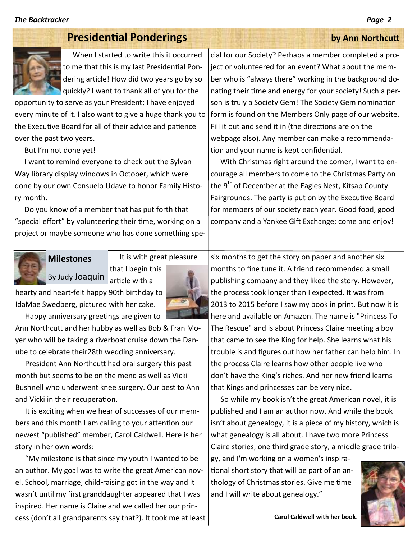## **Presidential Ponderings by Ann Northcutt**



When I started to write this it occurred to me that this is my last Presidential Pondering article! How did two years go by so quickly? I want to thank all of you for the

opportunity to serve as your President; I have enjoyed every minute of it. I also want to give a huge thank you to the Executive Board for all of their advice and patience over the past two years.

But I'm not done yet!

I want to remind everyone to check out the Sylvan Way library display windows in October, which were done by our own Consuelo Udave to honor Family History month.

Do you know of a member that has put forth that "special effort" by volunteering their time, working on a project or maybe someone who has done something spe-

cial for our Society? Perhaps a member completed a project or volunteered for an event? What about the member who is "always there" working in the background donating their time and energy for your society! Such a person is truly a Society Gem! The Society Gem nomination form is found on the Members Only page of our website. Fill it out and send it in (the directions are on the webpage also). Any member can make a recommendation and your name is kept confidential.

With Christmas right around the corner, I want to encourage all members to come to the Christmas Party on the  $9<sup>th</sup>$  of December at the Eagles Nest, Kitsap County Fairgrounds. The party is put on by the Executive Board for members of our society each year. Good food, good company and a Yankee Gift Exchange; come and enjoy!



It is with great pleasure that I begin this By Judy Joaquin article with a **Milestones**



hearty and heart-felt happy 90th birthday to IdaMae Swedberg, pictured with her cake.

Happy anniversary greetings are given to

Ann Northcutt and her hubby as well as Bob & Fran Moyer who will be taking a riverboat cruise down the Danube to celebrate their28th wedding anniversary.

President Ann Northcutt had oral surgery this past month but seems to be on the mend as well as Vicki Bushnell who underwent knee surgery. Our best to Ann and Vicki in their recuperation.

It is exciting when we hear of successes of our members and this month I am calling to your attention our newest "published" member, Carol Caldwell. Here is her story in her own words:

"My milestone is that since my youth I wanted to be an author. My goal was to write the great American novel. School, marriage, child-raising got in the way and it wasn't until my first granddaughter appeared that I was inspired. Her name is Claire and we called her our princess (don't all grandparents say that?). It took me at least

six months to get the story on paper and another six months to fine tune it. A friend recommended a small publishing company and they liked the story. However, the process took longer than I expected. It was from 2013 to 2015 before I saw my book in print. But now it is here and available on Amazon. The name is "Princess To The Rescue" and is about Princess Claire meeting a boy that came to see the King for help. She learns what his trouble is and figures out how her father can help him. In the process Claire learns how other people live who don't have the King's riches. And her new friend learns that Kings and princesses can be very nice.

So while my book isn't the great American novel, it is published and I am an author now. And while the book isn't about genealogy, it is a piece of my history, which is what genealogy is all about. I have two more Princess Claire stories, one third grade story, a middle grade trilo-

gy, and I'm working on a women's inspirational short story that will be part of an anthology of Christmas stories. Give me time and I will write about genealogy."

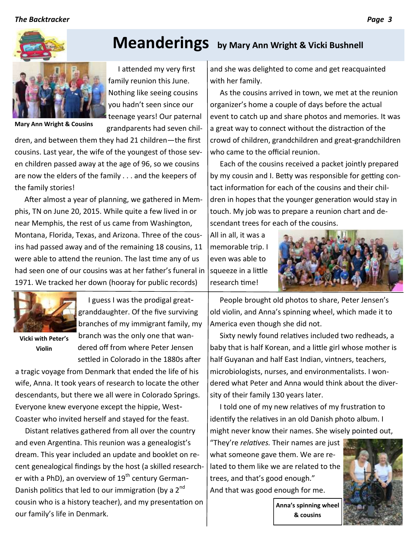

**Mary Ann Wright & Cousins**

family reunion this June. Nothing like seeing cousins you hadn't seen since our teenage years! Our paternal

dren, and between them they had 21 children—the first cousins. Last year, the wife of the youngest of those seven children passed away at the age of 96, so we cousins are now the elders of the family . . . and the keepers of the family stories!

After almost a year of planning, we gathered in Memphis, TN on June 20, 2015. While quite a few lived in or near Memphis, the rest of us came from Washington, Montana, Florida, Texas, and Arizona. Three of the cousins had passed away and of the remaining 18 cousins, 11 were able to attend the reunion. The last time any of us had seen one of our cousins was at her father's funeral in 1971. We tracked her down (hooray for public records)



**Vicki with Peter's Violin**

I guess I was the prodigal greatgranddaughter. Of the five surviving branches of my immigrant family, my branch was the only one that wandered off from where Peter Jensen settled in Colorado in the 1880s after

a tragic voyage from Denmark that ended the life of his wife, Anna. It took years of research to locate the other descendants, but there we all were in Colorado Springs. Everyone knew everyone except the hippie, West-Coaster who invited herself and stayed for the feast.

Distant relatives gathered from all over the country and even Argentina. This reunion was a genealogist's dream. This year included an update and booklet on recent genealogical findings by the host (a skilled researcher with a PhD), an overview of  $19^{th}$  century German-Danish politics that led to our immigration (by a  $2^{nd}$ cousin who is a history teacher), and my presentation on our family's life in Denmark.

# **Meanderings by Mary Ann Wright & Vicki Bushnell**

I attended my very first

grandparents had seven chil-

and she was delighted to come and get reacquainted with her family.

As the cousins arrived in town, we met at the reunion organizer's home a couple of days before the actual event to catch up and share photos and memories. It was a great way to connect without the distraction of the crowd of children, grandchildren and great-grandchildren who came to the official reunion.

Each of the cousins received a packet jointly prepared by my cousin and I. Betty was responsible for getting contact information for each of the cousins and their children in hopes that the younger generation would stay in touch. My job was to prepare a reunion chart and descendant trees for each of the cousins.

All in all, it was a memorable trip. I even was able to squeeze in a little research time!



People brought old photos to share, Peter Jensen's old violin, and Anna's spinning wheel, which made it to America even though she did not.

Sixty newly found relatives included two redheads, a baby that is half Korean, and a little girl whose mother is half Guyanan and half East Indian, vintners, teachers, microbiologists, nurses, and environmentalists. I wondered what Peter and Anna would think about the diversity of their family 130 years later.

I told one of my new relatives of my frustration to identify the relatives in an old Danish photo album. I might never know their names. She wisely pointed out,

"They're *relatives.* Their names are just what someone gave them. We are related to them like we are related to the trees, and that's good enough." And that was good enough for me.



**Anna's spinning wheel & cousins**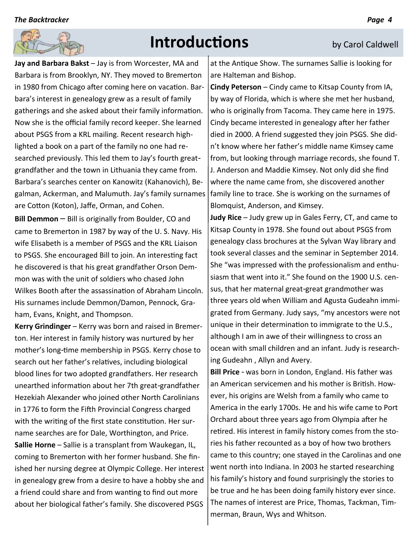

# **Introductions by Carol Caldwell**

**Jay and Barbara Bakst** – Jay is from Worcester, MA and Barbara is from Brooklyn, NY. They moved to Bremerton in 1980 from Chicago after coming here on vacation. Barbara's interest in genealogy grew as a result of family gatherings and she asked about their family information. Now she is the official family record keeper. She learned about PSGS from a KRL mailing. Recent research highlighted a book on a part of the family no one had researched previously. This led them to Jay's fourth greatgrandfather and the town in Lithuania they came from. Barbara's searches center on Kanowitz (Kahanovich), Begalman, Ackerman, and Malumuth. Jay's family surnames are Cotton (Koton), Jaffe, Orman, and Cohen.

**Bill Demmon** – Bill is originally from Boulder, CO and came to Bremerton in 1987 by way of the U. S. Navy. His wife Elisabeth is a member of PSGS and the KRL Liaison to PSGS. She encouraged Bill to join. An interesting fact he discovered is that his great grandfather Orson Demmon was with the unit of soldiers who chased John Wilkes Booth after the assassination of Abraham Lincoln. His surnames include Demmon/Damon, Pennock, Graham, Evans, Knight, and Thompson.

**Kerry Grindinger** – Kerry was born and raised in Bremerton. Her interest in family history was nurtured by her mother's long-time membership in PSGS. Kerry chose to search out her father's relatives, including biological blood lines for two adopted grandfathers. Her research unearthed information about her 7th great-grandfather Hezekiah Alexander who joined other North Carolinians in 1776 to form the Fifth Provincial Congress charged with the writing of the first state constitution. Her surname searches are for Dale, Worthington, and Price. **Sallie Horne** – Sallie is a transplant from Waukegan, IL, coming to Bremerton with her former husband. She finished her nursing degree at Olympic College. Her interest in genealogy grew from a desire to have a hobby she and a friend could share and from wanting to find out more about her biological father's family. She discovered PSGS

at the Antique Show. The surnames Sallie is looking for are Halteman and Bishop.

**Cindy Peterson** – Cindy came to Kitsap County from IA, by way of Florida, which is where she met her husband, who is originally from Tacoma. They came here in 1975. Cindy became interested in genealogy after her father died in 2000. A friend suggested they join PSGS. She didn't know where her father's middle name Kimsey came from, but looking through marriage records, she found T. J. Anderson and Maddie Kimsey. Not only did she find where the name came from, she discovered another family line to trace. She is working on the surnames of Blomquist, Anderson, and Kimsey.

**Judy Rice** – Judy grew up in Gales Ferry, CT, and came to Kitsap County in 1978. She found out about PSGS from genealogy class brochures at the Sylvan Way library and took several classes and the seminar in September 2014. She "was impressed with the professionalism and enthusiasm that went into it." She found on the 1900 U.S. census, that her maternal great-great grandmother was three years old when William and Agusta Gudeahn immigrated from Germany. Judy says, "my ancestors were not unique in their determination to immigrate to the U.S., although I am in awe of their willingness to cross an ocean with small children and an infant. Judy is researching Gudeahn , Allyn and Avery.

**Bill Price** - was born in London, England. His father was an American servicemen and his mother is British. However, his origins are Welsh from a family who came to America in the early 1700s. He and his wife came to Port Orchard about three years ago from Olympia after he retired. His interest in family history comes from the stories his father recounted as a boy of how two brothers came to this country; one stayed in the Carolinas and one went north into Indiana. In 2003 he started researching his family's history and found surprisingly the stories to be true and he has been doing family history ever since. The names of interest are Price, Thomas, Tackman, Timmerman, Braun, Wys and Whitson.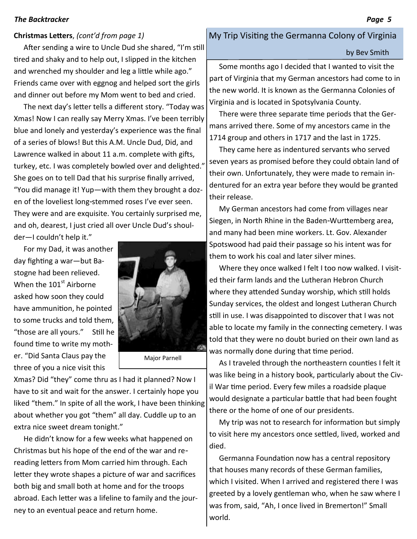### **Christmas Letters**, *(cont'd from page 1)*

After sending a wire to Uncle Dud she shared, "I'm still tired and shaky and to help out, I slipped in the kitchen and wrenched my shoulder and leg a little while ago." Friends came over with eggnog and helped sort the girls and dinner out before my Mom went to bed and cried.

The next day's letter tells a different story. "Today was Xmas! Now I can really say Merry Xmas. I've been terribly blue and lonely and yesterday's experience was the final of a series of blows! But this A.M. Uncle Dud, Did, and Lawrence walked in about 11 a.m. complete with gifts, turkey, etc. I was completely bowled over and delighted." She goes on to tell Dad that his surprise finally arrived, "You did manage it! Yup—with them they brought a dozen of the loveliest long-stemmed roses I've ever seen. They were and are exquisite. You certainly surprised me, and oh, dearest, I just cried all over Uncle Dud's shoul-

der—I couldn't help it."

For my Dad, it was another day fighting a war—but Bastogne had been relieved. When the  $101<sup>st</sup>$  Airborne asked how soon they could have ammunition, he pointed to some trucks and told them, "those are all yours." Still he found time to write my mother. "Did Santa Claus pay the three of you a nice visit this



Major Parnell

Xmas? Did "they" come thru as I had it planned? Now I have to sit and wait for the answer. I certainly hope you liked "them." In spite of all the work, I have been thinking about whether you got "them" all day. Cuddle up to an extra nice sweet dream tonight."

He didn't know for a few weeks what happened on Christmas but his hope of the end of the war and rereading letters from Mom carried him through. Each letter they wrote shapes a picture of war and sacrifices both big and small both at home and for the troops abroad. Each letter was a lifeline to family and the journey to an eventual peace and return home.

### My Trip Visiting the Germanna Colony of Virginia

### by Bev Smith

Some months ago I decided that I wanted to visit the part of Virginia that my German ancestors had come to in the new world. It is known as the Germanna Colonies of Virginia and is located in Spotsylvania County.

There were three separate time periods that the Germans arrived there. Some of my ancestors came in the 1714 group and others in 1717 and the last in 1725.

They came here as indentured servants who served seven years as promised before they could obtain land of their own. Unfortunately, they were made to remain indentured for an extra year before they would be granted their release.

My German ancestors had come from villages near Siegen, in North Rhine in the Baden-Wurttemberg area, and many had been mine workers. Lt. Gov. Alexander Spotswood had paid their passage so his intent was for them to work his coal and later silver mines.

Where they once walked I felt I too now walked. I visited their farm lands and the Lutheran Hebron Church where they attended Sunday worship, which still holds Sunday services, the oldest and longest Lutheran Church still in use. I was disappointed to discover that I was not able to locate my family in the connecting cemetery. I was told that they were no doubt buried on their own land as was normally done during that time period.

As I traveled through the northeastern counties I felt it was like being in a history book, particularly about the Civil War time period. Every few miles a roadside plaque would designate a particular battle that had been fought there or the home of one of our presidents.

My trip was not to research for information but simply to visit here my ancestors once settled, lived, worked and died.

Germanna Foundation now has a central repository that houses many records of these German families, which I visited. When I arrived and registered there I was greeted by a lovely gentleman who, when he saw where I was from, said, "Ah, I once lived in Bremerton!" Small world.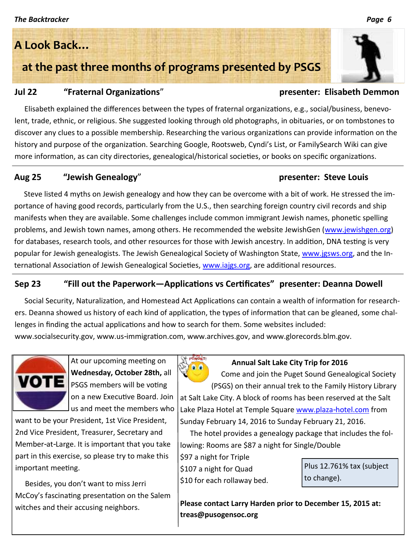# **A Look Back…**

**at the past three months of programs presented by PSGS**

### **Jul 22 "Fraternal Organizations**" **presenter: Elisabeth Demmon**

Elisabeth explained the differences between the types of fraternal organizations, e.g., social/business, benevolent, trade, ethnic, or religious. She suggested looking through old photographs, in obituaries, or on tombstones to discover any clues to a possible membership. Researching the various organizations can provide information on the history and purpose of the organization. Searching Google, Rootsweb, Cyndi's List, or FamilySearch Wiki can give more information, as can city directories, genealogical/historical societies, or books on specific organizations.

### **Aug 25 "Jewish Genealogy**" **presenter: Steve Louis**

Steve listed 4 myths on Jewish genealogy and how they can be overcome with a bit of work. He stressed the importance of having good records, particularly from the U.S., then searching foreign country civil records and ship manifests when they are available. Some challenges include common immigrant Jewish names, phonetic spelling problems, and Jewish town names, among others. He recommended the website JewishGen (www.jewishgen.org) for databases, research tools, and other resources for those with Jewish ancestry. In addition, DNA testing is very popular for Jewish genealogists. The Jewish Genealogical Society of Washington State, [www.jgsws.org,](http://www.jgsws.org) and the International Association of Jewish Genealogical Societies, [www.iajgs.org,](http://www.iajgs.org) are additional resources.

### **Sep 23 "Fill out the Paperwork—Applications vs Certificates" presenter: Deanna Dowell**

Social Security, Naturalization, and Homestead Act Applications can contain a wealth of information for researchers. Deanna showed us history of each kind of application, the types of information that can be gleaned, some challenges in finding the actual applications and how to search for them. Some websites included: www.socialsecurity.gov, www.us-immigration.com, www.archives.gov, and www.glorecords.blm.gov.

At our upcoming meeting on **Wednesday, October 28th,** all PSGS members will be voting on a new Executive Board. Join us and meet the members who

want to be your President, 1st Vice President, 2nd Vice President, Treasurer, Secretary and Member-at-Large. It is important that you take part in this exercise, so please try to make this important meeting.

Besides, you don't want to miss Jerri McCoy's fascinating presentation on the Salem witches and their accusing neighbors.



Come and join the Puget Sound Genealogical Society (PSGS) on their annual trek to the Family History Library

at Salt Lake City. A block of rooms has been reserved at the Salt Lake Plaza Hotel at Temple Square www.plaza-hotel.com from Sunday February 14, 2016 to Sunday February 21, 2016.

The hotel provides a genealogy package that includes the following: Rooms are \$87 a night for Single/Double

\$97 a night for Triple \$107 a night for Quad \$10 for each rollaway bed.

Plus 12.761% tax (subject to change).

**Please contact Larry Harden prior to December 15, 2015 at: treas@pusogensoc.org**

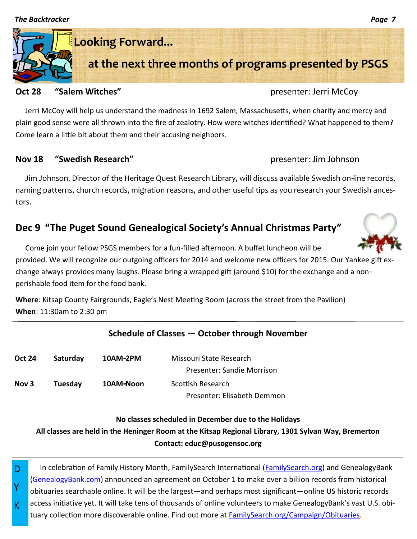

### **Oct 28 "Salem Witches" presenter: Jerri McCoy**

Jerri McCoy will help us understand the madness in 1692 Salem, Massachusetts, when charity and mercy and plain good sense were all thrown into the fire of zealotry. How were witches identified? What happened to them? Come learn a little bit about them and their accusing neighbors.

### **Nov 18 "Swedish Research"** presenter: Jim Johnson

Jim Johnson, Director of the Heritage Quest Research Library, will discuss available Swedish on-line records, naming patterns, church records, migration reasons, and other useful tips as you research your Swedish ancestors.

## **Dec 9 "The Puget Sound Genealogical Society's Annual Christmas Party"**

Come join your fellow PSGS members for a fun-filled afternoon. A buffet luncheon will be provided. We will recognize our outgoing officers for 2014 and welcome new officers for 2015. Our Yankee gift exchange always provides many laughs. Please bring a wrapped gift (around \$10) for the exchange and a nonperishable food item for the food bank.

**Where**: Kitsap County Fairgrounds, Eagle's Nest Meeting Room (across the street from the Pavilion) **When**: 11:30am to 2:30 pm

### **Schedule of Classes — October through November**

| <b>Oct 24</b> | Saturday | 10AM-2PM  | Missouri State Research     |
|---------------|----------|-----------|-----------------------------|
|               |          |           | Presenter: Sandie Morrison  |
| Nov 3         | Tuesday  | 10AM-Noon | Scottish Research           |
|               |          |           | Presenter: Elisabeth Demmon |

### **No classes scheduled in December due to the Holidays**

**All classes are held in the Heninger Room at the Kitsap Regional Library, 1301 Sylvan Way, Bremerton Contact: educ@pusogensoc.org**

In celebration of Family History Month, FamilySearch International ([FamilySearch.org\)](https://www.familysearch.org/) and GenealogyBank ([GenealogyBank.com\)](http://www.genealogybank.com/) announced an agreement on October 1 to make over a billion records from historical obituaries searchable online. It will be the largest—and perhaps most significant—online US historic records access initiative yet. It will take tens of thousands of online volunteers to make GenealogyBank's vast U.S. obituary collection more discoverable online. Find out more at **FamilySearch.org/Campaign/Obituaries.** 

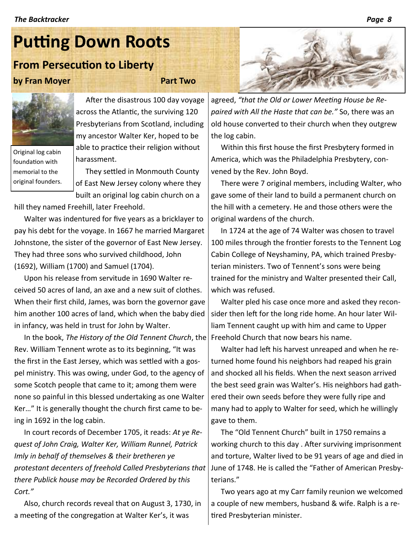# **Putting Down Roots**

# **From Persecution to Liberty**

### **by Fran Moyer Part Two**



Original log cabin foundation with memorial to the original founders.

After the disastrous 100 day voyage across the Atlantic, the surviving 120 Presbyterians from Scotland, including my ancestor Walter Ker, hoped to be able to practice their religion without harassment.

They settled in Monmouth County of East New Jersey colony where they built an original log cabin church on a

hill they named Freehill, later Freehold.

Walter was indentured for five years as a bricklayer to pay his debt for the voyage. In 1667 he married Margaret Johnstone, the sister of the governor of East New Jersey. They had three sons who survived childhood, John (1692), William (1700) and Samuel (1704).

Upon his release from servitude in 1690 Walter received 50 acres of land, an axe and a new suit of clothes. When their first child, James, was born the governor gave him another 100 acres of land, which when the baby died in infancy, was held in trust for John by Walter.

In the book, *The History of the Old Tennent Church*, the Freehold Church that now bears his name. Rev. William Tennent wrote as to its beginning, "It was the first in the East Jersey, which was settled with a gospel ministry. This was owing, under God, to the agency of some Scotch people that came to it; among them were none so painful in this blessed undertaking as one Walter Ker…" It is generally thought the church first came to being in 1692 in the log cabin.

In court records of December 1705, it reads: *At ye Request of John Craig, Walter Ker, William Runnel, Patrick Imly in behalf of themselves & their bretheren ye protestant decenters of freehold Called Presbyterians that there Publick house may be Recorded Ordered by this Cort."* 

Also, church records reveal that on August 3, 1730, in a meeting of the congregation at Walter Ker's, it was



agreed, *"that the Old or Lower Meeting House be Repaired with All the Haste that can be."* So, there was an old house converted to their church when they outgrew the log cabin.

Within this first house the first Presbytery formed in America, which was the Philadelphia Presbytery, convened by the Rev. John Boyd.

There were 7 original members, including Walter, who gave some of their land to build a permanent church on the hill with a cemetery. He and those others were the original wardens of the church.

In 1724 at the age of 74 Walter was chosen to travel 100 miles through the frontier forests to the Tennent Log Cabin College of Neyshaminy, PA, which trained Presbyterian ministers. Two of Tennent's sons were being trained for the ministry and Walter presented their Call, which was refused.

Walter pled his case once more and asked they reconsider then left for the long ride home. An hour later William Tennent caught up with him and came to Upper

Walter had left his harvest unreaped and when he returned home found his neighbors had reaped his grain and shocked all his fields. When the next season arrived the best seed grain was Walter's. His neighbors had gathered their own seeds before they were fully ripe and many had to apply to Walter for seed, which he willingly gave to them.

The "Old Tennent Church" built in 1750 remains a working church to this day . After surviving imprisonment and torture, Walter lived to be 91 years of age and died in June of 1748. He is called the "Father of American Presbyterians."

Two years ago at my Carr family reunion we welcomed a couple of new members, husband & wife. Ralph is a retired Presbyterian minister.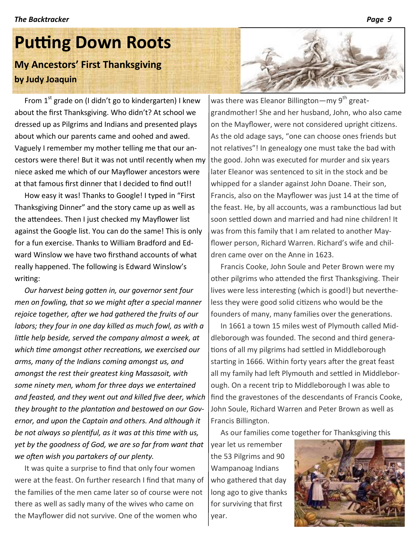# **Putting Down Roots My Ancestors' First Thanksgiving**

### **by Judy Joaquin**

From  $1^{st}$  grade on (I didn't go to kindergarten) I knew about the first Thanksgiving. Who didn't? At school we dressed up as Pilgrims and Indians and presented plays about which our parents came and oohed and awed. Vaguely I remember my mother telling me that our ancestors were there! But it was not until recently when my niece asked me which of our Mayflower ancestors were at that famous first dinner that I decided to find out!!

How easy it was! Thanks to Google! I typed in "First Thanksgiving Dinner" and the story came up as well as the attendees. Then I just checked my Mayflower list against the Google list. You can do the same! This is only for a fun exercise. Thanks to William Bradford and Edward Winslow we have two firsthand accounts of what really happened. The following is Edward Winslow's writing:

*Our harvest being gotten in, our governor sent four men on fowling, that so we might after a special manner rejoice together, after we had gathered the fruits of our labors; they four in one day killed as much fowl, as with a little help beside, served the company almost a week, at which time amongst other recreations, we exercised our arms, many of the Indians coming amongst us, and amongst the rest their greatest king Massasoit, with some ninety men, whom for three days we entertained and feasted, and they went out and killed five deer, which they brought to the plantation and bestowed on our Governor, and upon the Captain and others. And although it be not always so plentiful, as it was at this time with us, yet by the goodness of God, we are so far from want that we often wish you partakers of our plenty.*

It was quite a surprise to find that only four women were at the feast. On further research I find that many of the families of the men came later so of course were not there as well as sadly many of the wives who came on the Mayflower did not survive. One of the women who



was there was Eleanor Billington—my  $9<sup>th</sup>$  greatgrandmother! She and her husband, John, who also came on the Mayflower, were not considered upright citizens. As the old adage says, "one can choose ones friends but not relatives"! In genealogy one must take the bad with the good. John was executed for murder and six years later Eleanor was sentenced to sit in the stock and be whipped for a slander against John Doane. Their son, Francis, also on the Mayflower was just 14 at the time of the feast. He, by all accounts, was a rambunctious lad but soon settled down and married and had nine children! It was from this family that I am related to another Mayflower person, Richard Warren. Richard's wife and children came over on the Anne in 1623.

Francis Cooke, John Soule and Peter Brown were my other pilgrims who attended the first Thanksgiving. Their lives were less interesting (which is good!) but nevertheless they were good solid citizens who would be the founders of many, many families over the generations.

In 1661 a town 15 miles west of Plymouth called Middleborough was founded. The second and third generations of all my pilgrims had settled in Middleborough starting in 1666. Within forty years after the great feast all my family had left Plymouth and settled in Middleborough. On a recent trip to Middleborough I was able to find the gravestones of the descendants of Francis Cooke, John Soule, Richard Warren and Peter Brown as well as Francis Billington.

As our families come together for Thanksgiving this

year let us remember the 53 Pilgrims and 90 Wampanoag Indians who gathered that day long ago to give thanks for surviving that first year.

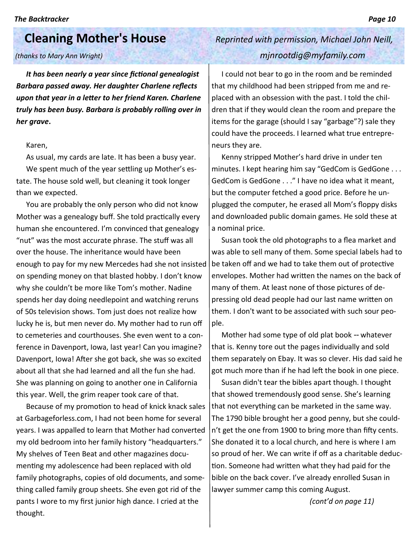# **Cleaning Mother's House** *Reprinted with permission, Michael John Neill,*

*It has been nearly a year since fictional genealogist Barbara passed away. Her daughter Charlene reflects upon that year in a letter to her friend Karen. Charlene truly has been busy. Barbara is probably rolling over in her grave***.**

### Karen,

As usual, my cards are late. It has been a busy year. We spent much of the year settling up Mother's estate. The house sold well, but cleaning it took longer than we expected.

You are probably the only person who did not know Mother was a genealogy buff. She told practically every human she encountered. I'm convinced that genealogy "nut" was the most accurate phrase. The stuff was all over the house. The inheritance would have been enough to pay for my new Mercedes had she not insisted on spending money on that blasted hobby. I don't know why she couldn't be more like Tom's mother. Nadine spends her day doing needlepoint and watching reruns of 50s television shows. Tom just does not realize how lucky he is, but men never do. My mother had to run off to cemeteries and courthouses. She even went to a conference in Davenport, Iowa, last year! Can you imagine? Davenport, Iowa! After she got back, she was so excited about all that she had learned and all the fun she had. She was planning on going to another one in California this year. Well, the grim reaper took care of that.

Because of my promotion to head of knick knack sales at Garbageforless.com, I had not been home for several years. I was appalled to learn that Mother had converted my old bedroom into her family history "headquarters." My shelves of Teen Beat and other magazines documenting my adolescence had been replaced with old family photographs, copies of old documents, and something called family group sheets. She even got rid of the pants I wore to my first junior high dance. I cried at the thought.

# *(thanks to Mary Ann Wright) mjnrootdig@myfamily.com*

I could not bear to go in the room and be reminded that my childhood had been stripped from me and replaced with an obsession with the past. I told the children that if they would clean the room and prepare the items for the garage (should I say "garbage"?) sale they could have the proceeds. I learned what true entrepreneurs they are.

Kenny stripped Mother's hard drive in under ten minutes. I kept hearing him say "GedCom is GedGone . . . GedCom is GedGone . . ." I have no idea what it meant, but the computer fetched a good price. Before he unplugged the computer, he erased all Mom's floppy disks and downloaded public domain games. He sold these at a nominal price.

Susan took the old photographs to a flea market and was able to sell many of them. Some special labels had to be taken off and we had to take them out of protective envelopes. Mother had written the names on the back of many of them. At least none of those pictures of depressing old dead people had our last name written on them. I don't want to be associated with such sour people.

Mother had some type of old plat book -- whatever that is. Kenny tore out the pages individually and sold them separately on Ebay. It was so clever. His dad said he got much more than if he had left the book in one piece.

Susan didn't tear the bibles apart though. I thought that showed tremendously good sense. She's learning that not everything can be marketed in the same way. The 1790 bible brought her a good penny, but she couldn't get the one from 1900 to bring more than fifty cents. She donated it to a local church, and here is where I am so proud of her. We can write if off as a charitable deduction. Someone had written what they had paid for the bible on the back cover. I've already enrolled Susan in lawyer summer camp this coming August.

*(cont'd on page 11)*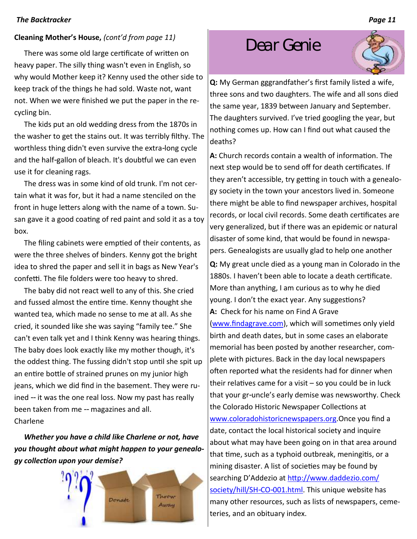### **Cleaning Mother's House,** *(cont'd from page 11)*

There was some old large certificate of written on heavy paper. The silly thing wasn't even in English, so why would Mother keep it? Kenny used the other side to keep track of the things he had sold. Waste not, want not. When we were finished we put the paper in the recycling bin.

The kids put an old wedding dress from the 1870s in the washer to get the stains out. It was terribly filthy. The worthless thing didn't even survive the extra-long cycle and the half-gallon of bleach. It's doubtful we can even use it for cleaning rags.

The dress was in some kind of old trunk. I'm not certain what it was for, but it had a name stenciled on the front in huge letters along with the name of a town. Susan gave it a good coating of red paint and sold it as a toy box.

The filing cabinets were emptied of their contents, as were the three shelves of binders. Kenny got the bright idea to shred the paper and sell it in bags as New Year's confetti. The file folders were too heavy to shred.

The baby did not react well to any of this. She cried and fussed almost the entire time. Kenny thought she wanted tea, which made no sense to me at all. As she cried, it sounded like she was saying "family tee." She can't even talk yet and I think Kenny was hearing things. The baby does look exactly like my mother though, it's the oddest thing. The fussing didn't stop until she spit up an entire bottle of strained prunes on my junior high jeans, which we did find in the basement. They were ruined -- it was the one real loss. Now my past has really been taken from me -- magazines and all. Charlene

*Whether you have a child like Charlene or not, have you thought about what might happen to your genealogy collection upon your demise?*



# *Dear Genie*



**Q:** My German gggrandfather's first family listed a wife, three sons and two daughters. The wife and all sons died the same year, 1839 between January and September. The daughters survived. I've tried googling the year, but nothing comes up. How can I find out what caused the deaths?

**A:** Church records contain a wealth of information. The next step would be to send off for death certificates. If they aren't accessible, try getting in touch with a genealogy society in the town your ancestors lived in. Someone there might be able to find newspaper archives, hospital records, or local civil records. Some death certificates are very generalized, but if there was an epidemic or natural disaster of some kind, that would be found in newspapers. Genealogists are usually glad to help one another

**Q:** My great uncle died as a young man in Colorado in the 1880s. I haven't been able to locate a death certificate. More than anything, I am curious as to why he died young. I don't the exact year. Any suggestions? **A:** Check for his name on Find A Grave

([www.findagrave.com\),](http://www.findagrave.com/) which will sometimes only yield birth and death dates, but in some cases an elaborate memorial has been posted by another researcher, complete with pictures. Back in the day local newspapers often reported what the residents had for dinner when their relatives came for a visit – so you could be in luck that your gr-uncle's early demise was newsworthy. Check the Colorado Historic Newspaper Collections at [www.coloradohistoricnewspapers.org.](http://www.coloradohistoricnewspapers.org/) Once you find a date, contact the local historical society and inquire about what may have been going on in that area around that time, such as a typhoid outbreak, meningitis, or a mining disaster. A list of societies may be found by searching D'Addezio at [http://www.daddezio.com/](http://www.daddezio.com/society/hill/SH-CO-001.html) [society/hill/SH-CO-001.html.](http://www.daddezio.com/society/hill/SH-CO-001.html) This unique website has many other resources, such as lists of newspapers, cemeteries, and an obituary index.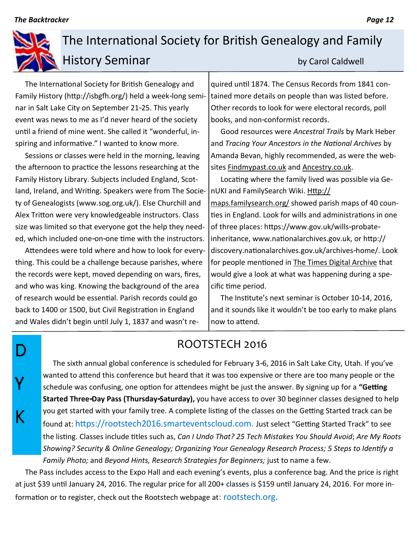D

Ý

K

# The International Society for British Genealogy and Family History Seminar by Carol Caldwell

The International Society for British Genealogy and Family History (http://isbgfh.org/) held a week-long seminar in Salt Lake City on September 21-25. This yearly event was news to me as I'd never heard of the society until a friend of mine went. She called it "wonderful, inspiring and informative." I wanted to know more.

Sessions or classes were held in the morning, leaving the afternoon to practice the lessons researching at the Family History Library. Subjects included England, Scotland, Ireland, and Writing. Speakers were from The Society of Genealogists (www.sog.org.uk/). Else Churchill and Alex Tritton were very knowledgeable instructors. Class size was limited so that everyone got the help they needed, which included one-on-one time with the instructors.

Attendees were told where and how to look for everything. This could be a challenge because parishes, where the records were kept, moved depending on wars, fires, and who was king. Knowing the background of the area of research would be essential. Parish records could go back to 1400 or 1500, but Civil Registration in England and Wales didn't begin until July 1, 1837 and wasn't required until 1874. The Census Records from 1841 contained more details on people than was listed before. Other records to look for were electoral records, poll books, and non-conformist records.

Good resources were *Ancestral Trails* by Mark Heber and *Tracing Your Ancestors in the National Archives* by Amanda Bevan, highly recommended, as were the websites Findmypast.co.uk and Ancestry.co.uk.

Locating where the family lived was possible via GenUKI and FamilySearch Wiki. Http:// maps.familysearch.org/ showed parish maps of 40 counties in England. Look for wills and administrations in one of three places: https://www.gov.uk/wills-probateinheritance, www.nationalarchives.gov.uk, or http:// discovery.nationalarchives.gov.uk/archives-home/. Look for people mentioned in The Times Digital Archive that would give a look at what was happening during a specific time period.

The Institute's next seminar is October 10-14, 2016, and it sounds like it wouldn't be too early to make plans now to attend.

# ROOTSTECH 2016

The sixth annual global conference is scheduled for February 3-6, 2016 in Salt Lake City, Utah. If you've wanted to attend this conference but heard that it was too expensive or there are too many people or the schedule was confusing, one option for attendees might be just the answer. By signing up for a **"Getting Started Three-Day Pass (Thursday-Saturday),** you have access to over 30 beginner classes designed to help you get started with your family tree. A complete listing of the classes on the Getting Started track can be found at: https://rootstech2016.smarteventscloud.com. Just select "Getting Started Track" to see the listing. Classes include titles such as, *[Can I Undo That? 25 Tech Mistakes You Should Avoid](https://rootstech2016.smarteventscloud.com/connect/sessionDetail.ww?SESSION_ID=22485)*; *[Are My Roots](https://rootstech2016.smarteventscloud.com/connect/sessionDetail.ww?SESSION_ID=20771)  [Showing? Security & Online Genealogy; O](https://rootstech2016.smarteventscloud.com/connect/sessionDetail.ww?SESSION_ID=20771)[rganizing Your Genealogy Research Process; 5](https://rootstech2016.smarteventscloud.com/connect/sessionDetail.ww?SESSION_ID=21760) [Steps to Identify a](https://rootstech2016.smarteventscloud.com/connect/sessionDetail.ww?SESSION_ID=21532)  [Family Photo;](https://rootstech2016.smarteventscloud.com/connect/sessionDetail.ww?SESSION_ID=21532)* and *[Beyond Hints, Research Strategies for Beginners;](https://rootstech2016.smarteventscloud.com/connect/sessionDetail.ww?SESSION_ID=35350)* just to name a few.

The Pass includes access to the Expo Hall and each evening's events, plus a conference bag. And the price is right at just \$39 until January 24, 2016. The regular price for all 200+ classes is \$159 until January 24, 2016. For more information or to register, check out the Rootstech webpage at: rootstech.org.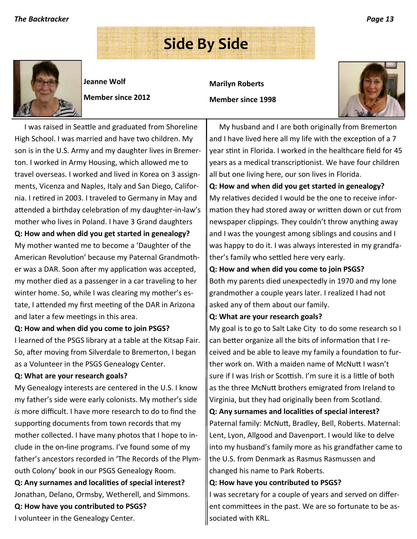# **Side By Side**



**Jeanne Wolf**

**Member since 2012**

**Marilyn Roberts**

**Member since 1998**



I was raised in Seattle and graduated from Shoreline High School. I was married and have two children. My son is in the U.S. Army and my daughter lives in Bremerton. I worked in Army Housing, which allowed me to travel overseas. I worked and lived in Korea on 3 assignments, Vicenza and Naples, Italy and San Diego, California. I retired in 2003. I traveled to Germany in May and attended a birthday celebration of my daughter-in-law's mother who lives in Poland. I have 3 Grand daughters **Q: How and when did you get started in genealogy?** My mother wanted me to become a 'Daughter of the American Revolution' because my Paternal Grandmother was a DAR. Soon after my application was accepted, my mother died as a passenger in a car traveling to her winter home. So, while I was clearing my mother's estate, I attended my first meeting of the DAR in Arizona

### **Q: How and when did you come to join PSGS?**

I learned of the PSGS library at a table at the Kitsap Fair. So, after moving from Silverdale to Bremerton, I began as a Volunteer in the PSGS Genealogy Center.

### **Q: What are your research goals?**

and later a few meetings in this area.

My Genealogy interests are centered in the U.S. I know my father's side were early colonists. My mother's side *is* more difficult. I have more research to do to find the supporting documents from town records that my mother collected. I have many photos that I hope to include in the on-line programs. I've found some of my father's ancestors recorded in 'The Records of the Plymouth Colony' book in our PSGS Genealogy Room. **Q: Any surnames and localities of special interest?**

Jonathan, Delano, Ormsby, Wetherell, and Simmons.

**Q: How have you contributed to PSGS?**

I volunteer in the Genealogy Center.

My husband and I are both originally from Bremerton and I have lived here all my life with the exception of a 7 year stint in Florida. I worked in the healthcare field for 45 years as a medical transcriptionist. We have four children all but one living here, our son lives in Florida.

### **Q: How and when did you get started in genealogy?** My relatives decided I would be the one to receive information they had stored away or written down or cut from newspaper clippings. They couldn't throw anything away

and I was the youngest among siblings and cousins and I was happy to do it. I was always interested in my grandfather's family who settled here very early.

### **Q: How and when did you come to join PSGS?**

Both my parents died unexpectedly in 1970 and my lone grandmother a couple years later. I realized I had not asked any of them about our family.

### **Q: What are your research goals?**

My goal is to go to Salt Lake City to do some research so I can better organize all the bits of information that I received and be able to leave my family a foundation to further work on. With a maiden name of McNutt I wasn't sure if I was Irish or Scottish. I'm sure it is a little of both as the three McNutt brothers emigrated from Ireland to Virginia, but they had originally been from Scotland.

### **Q: Any surnames and localities of special interest?**

Paternal family: McNutt, Bradley, Bell, Roberts. Maternal: Lent, Lyon, Allgood and Davenport. I would like to delve into my husband's family more as his grandfather came to the U.S. from Denmark as Rasmus Rasmussen and changed his name to Park Roberts.

### **Q: How have you contributed to PSGS?**

I was secretary for a couple of years and served on different committees in the past. We are so fortunate to be associated with KRL.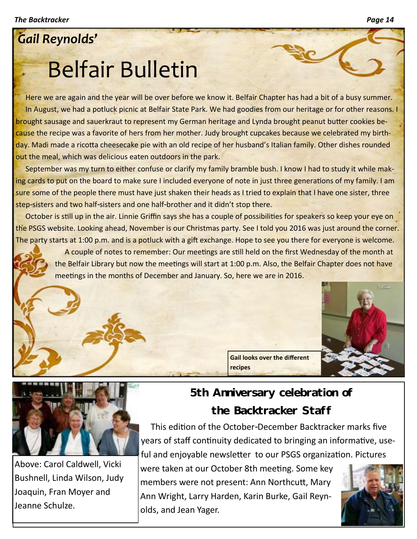# *Gail Reynolds'*

# Belfair Bulletin

Here we are again and the year will be over before we know it. Belfair Chapter has had a bit of a busy summer. In August, we had a potluck picnic at Belfair State Park. We had goodies from our heritage or for other reasons. I brought sausage and sauerkraut to represent my German heritage and Lynda brought peanut butter cookies because the recipe was a favorite of hers from her mother. Judy brought cupcakes because we celebrated my birthday. Madi made a ricotta cheesecake pie with an old recipe of her husband's Italian family. Other dishes rounded out the meal, which was delicious eaten outdoors in the park.

September was my turn to either confuse or clarify my family bramble bush. I know I had to study it while making cards to put on the board to make sure I included everyone of note in just three generations of my family. I am sure some of the people there must have just shaken their heads as I tried to explain that I have one sister, three step-sisters and two half-sisters and one half-brother and it didn't stop there.

October is still up in the air. Linnie Griffin says she has a couple of possibilities for speakers so keep your eye on the PSGS website. Looking ahead, November is our Christmas party. See I told you 2016 was just around the corner. The party starts at 1:00 p.m. and is a potluck with a gift exchange. Hope to see you there for everyone is welcome.

A couple of notes to remember: Our meetings are still held on the first Wednesday of the month at the Belfair Library but now the meetings will start at 1:00 p.m. Also, the Belfair Chapter does not have meetings in the months of December and January. So, here we are in 2016.





Above: Carol Caldwell, Vicki Bushnell, Linda Wilson, Judy Joaquin, Fran Moyer and Jeanne Schulze.

## **5th Anniversary celebration of the Backtracker Staff**

**Gail looks over the different** 

This edition of the October-December Backtracker marks five years of staff continuity dedicated to bringing an informative, useful and enjoyable newsletter to our PSGS organization. Pictures

were taken at our October 8th meeting. Some key members were not present: Ann Northcutt, Mary Ann Wright, Larry Harden, Karin Burke, Gail Reynolds, and Jean Yager.

**recipes**

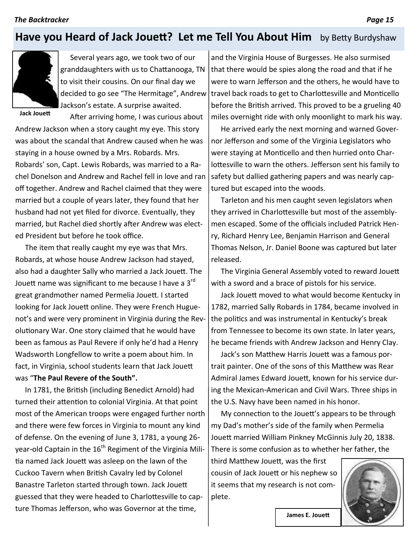## **Have you Heard of Jack Jouett? Let me Tell You About Him** by Betty Burdyshaw



Several years ago, we took two of our granddaughters with us to Chattanooga, TN to visit their cousins. On our final day we decided to go see "The Hermitage", Andrew Jackson's estate. A surprise awaited.

After arriving home, I was curious about

**Jack Jouett**

Andrew Jackson when a story caught my eye. This story was about the scandal that Andrew caused when he was staying in a house owned by a Mrs. Robards. Mrs. Robards' son, Capt. Lewis Robards, was married to a Rachel Donelson and Andrew and Rachel fell in love and ran off together. Andrew and Rachel claimed that they were married but a couple of years later, they found that her husband had not yet filed for divorce. Eventually, they married, but Rachel died shortly after Andrew was elected President but before he took office.

The item that really caught my eye was that Mrs. Robards, at whose house Andrew Jackson had stayed, also had a daughter Sally who married a Jack Jouett. The Jouett name was significant to me because I have a  $3<sup>rd</sup>$ great grandmother named Permelia Jouett. I started looking for Jack Jouett online. They were French Huguenot's and were very prominent in Virginia during the Revolutionary War. One story claimed that he would have been as famous as Paul Revere if only he'd had a Henry Wadsworth Longfellow to write a poem about him. In fact, in Virginia, school students learn that Jack Jouett was "**The Paul Revere of the South".**

In 1781, the British (including Benedict Arnold) had turned their attention to colonial Virginia. At that point most of the American troops were engaged further north and there were few forces in Virginia to mount any kind of defense. On the evening of June 3, 1781, a young 26 year-old Captain in the  $16<sup>th</sup>$  Regiment of the Virginia Militia named Jack Jouett was asleep on the lawn of the Cuckoo Tavern when British Cavalry led by Colonel Banastre Tarleton started through town. Jack Jouett guessed that they were headed to Charlottesville to capture Thomas Jefferson, who was Governor at the time,

and the Virginia House of Burgesses. He also surmised that there would be spies along the road and that if he were to warn Jefferson and the others, he would have to travel back roads to get to Charlottesville and Monticello before the British arrived. This proved to be a grueling 40 miles overnight ride with only moonlight to mark his way.

He arrived early the next morning and warned Governor Jefferson and some of the Virginia Legislators who were staying at Monticello and then hurried onto Charlottesville to warn the others. Jefferson sent his family to safety but dallied gathering papers and was nearly captured but escaped into the woods.

Tarleton and his men caught seven legislators when they arrived in Charlottesville but most of the assemblymen escaped. Some of the officials included Patrick Henry, Richard Henry Lee, Benjamin Harrison and General Thomas Nelson, Jr. Daniel Boone was captured but later released.

The Virginia General Assembly voted to reward Jouett with a sword and a brace of pistols for his service.

Jack Jouett moved to what would become Kentucky in 1782, married Sally Robards in 1784, became involved in the politics and was instrumental in Kentucky's break from Tennessee to become its own state. In later years, he became friends with Andrew Jackson and Henry Clay.

Jack's son Matthew Harris Jouett was a famous portrait painter. One of the sons of this Matthew was Rear Admiral James Edward Jouett, known for his service during the Mexican-American and Civil Wars. Three ships in the U.S. Navy have been named in his honor.

My connection to the Jouett's appears to be through my Dad's mother's side of the family when Permelia Jouett married William Pinkney McGinnis July 20, 1838. There is some confusion as to whether her father, the

third Matthew Jouett, was the first cousin of Jack Jouett or his nephew so it seems that my research is not complete.